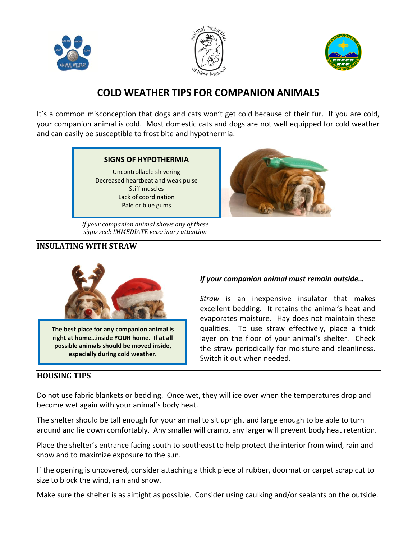





## **COLD WEATHER TIPS FOR COMPANION ANIMALS**

It's a common misconception that dogs and cats won't get cold because of their fur. If you are cold, your companion animal is cold. Most domestic cats and dogs are not well equipped for cold weather and can easily be susceptible to frost bite and hypothermia.



Uncontrollable shivering Decreased heartbeat and weak pulse Stiff muscles Lack of coordination Pale or blue gums

*If your companion animal shows any of these signs seek IMMEDIATE veterinary attention*

### **INSULATING WITH STRAW**



**The best place for any companion animal is right at home…inside YOUR home. If at all possible animals should be moved inside, especially during cold weather.**

#### **HOUSING TIPS**

#### *If your companion animal must remain outside…*

*Straw* is an inexpensive insulator that makes excellent bedding. It retains the animal's heat and evaporates moisture. Hay does not maintain these qualities. To use straw effectively, place a thick layer on the floor of your animal's shelter. Check the straw periodically for moisture and cleanliness. Switch it out when needed.

Do not use fabric blankets or bedding. Once wet, they will ice over when the temperatures drop and become wet again with your animal's body heat.

The shelter should be tall enough for your animal to sit upright and large enough to be able to turn around and lie down comfortably. Any smaller will cramp, any larger will prevent body heat retention.

Place the shelter's entrance facing south to southeast to help protect the interior from wind, rain and snow and to maximize exposure to the sun.

If the opening is uncovered, consider attaching a thick piece of rubber, doormat or carpet scrap cut to size to block the wind, rain and snow.

Make sure the shelter is as airtight as possible. Consider using caulking and/or sealants on the outside.